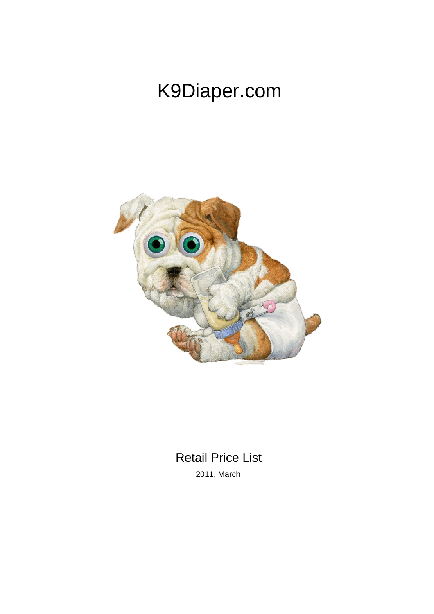# K9Diaper.com



## Retail Price List

2011, March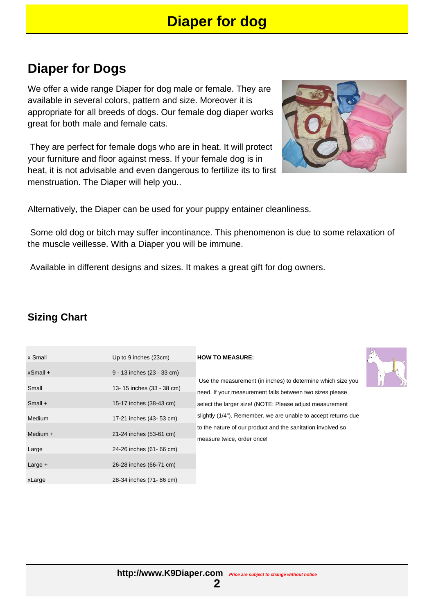### **Diaper for Dogs**

We offer a wide range Diaper for dog male or female. They are available in several colors, pattern and size. Moreover it is appropriate for all breeds of dogs. Our female dog diaper works great for both male and female cats.

 They are perfect for female dogs who are in heat. It will protect your furniture and floor against mess. If your female dog is in heat, it is not advisable and even dangerous to fertilize its to first menstruation. The Diaper will help you..

Alternatively, the Diaper can be used for your puppy entainer cleanliness.

 Some old dog or bitch may suffer incontinance. This phenomenon is due to some relaxation of the muscle veillesse. With a Diaper you will be immune.

Available in different designs and sizes. It makes a great gift for dog owners.

### **Sizing Chart**

| x Small     | Up to 9 inches (23cm)      | <b>HOW TO MEASURE:</b>                             |
|-------------|----------------------------|----------------------------------------------------|
| $x$ Small + | 9 - 13 inches (23 - 33 cm) |                                                    |
| Small       | 13-15 inches (33 - 38 cm)  | Use the measuremen<br>need. If your measure        |
| $Small +$   | 15-17 inches (38-43 cm)    | select the larger size!                            |
| Medium      | 17-21 inches (43- 53 cm)   | slightly (1/4"). Remem                             |
| Medium $+$  | 21-24 inches (53-61 cm)    | to the nature of our pro<br>measure twice, order o |
| Large       | 24-26 inches (61-66 cm)    |                                                    |
| Large $+$   | 26-28 inches (66-71 cm)    |                                                    |

xLarge 28-34 inches (71- 86 cm)

measurement (in inches) to determine which size you our measurement falls between two sizes please larger size! (NOTE: Please adjust measurement /4"). Remember, we are unable to accept returns due ure of our product and the sanitation involved so twice, order once!



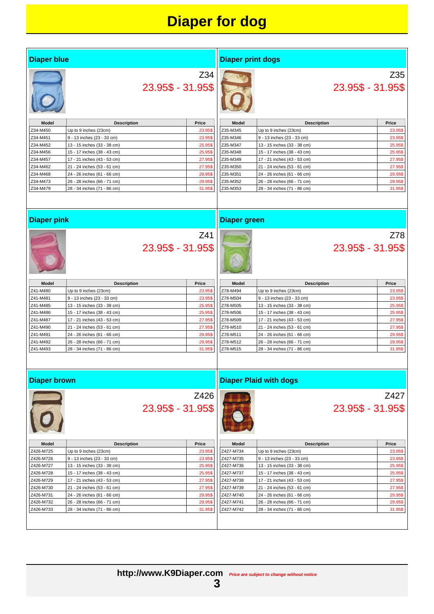### **Diaper for dog**

#### **Diaper blue**

#### **Diaper print dogs**



Z34 23.95\$ - 31.95\$

| <b>Model</b> | <b>Description</b>          | Price   |
|--------------|-----------------------------|---------|
| Z34-M450     | Up to 9 inches (23cm)       | 23.95\$ |
| Z34-M451     | 9 - 13 inches (23 - 33 cm)  | 23.95\$ |
| Z34-M452     | 13 - 15 inches (33 - 38 cm) | 25.95\$ |
| Z34-M456     | 15 - 17 inches (38 - 43 cm) | 25.95\$ |
| Z34-M457     | 17 - 21 inches (43 - 53 cm) | 27.95\$ |
| Z34-M462     | 21 - 24 inches (53 - 61 cm) | 27.95\$ |
| Z34-M468     | 24 - 26 inches (61 - 66 cm) | 29.95\$ |
| Z34-M473     | 26 - 28 inches (66 - 71 cm) | 29.95\$ |
| Z34-M479     | 28 - 34 inches (71 - 86 cm) | 31.95\$ |

| Model    | Price                       |         |  |
|----------|-----------------------------|---------|--|
| Z35-M345 | Up to 9 inches (23cm)       | 23.95\$ |  |
| Z35-M346 | 9 - 13 inches (23 - 33 cm)  | 23.95\$ |  |
| Z35-M347 | 13 - 15 inches (33 - 38 cm) | 25.95\$ |  |
| Z35-M348 | 15 - 17 inches (38 - 43 cm) | 25.95\$ |  |
| Z35-M349 | 17 - 21 inches (43 - 53 cm) | 27.95\$ |  |
| Z35-M350 | 21 - 24 inches (53 - 61 cm) | 27.95\$ |  |
| Z35-M351 | 24 - 26 inches (61 - 66 cm) | 29.95\$ |  |
| Z35-M352 | 26 - 28 inches (66 - 71 cm) | 29.95\$ |  |
| Z35-M353 | 28 - 34 inches (71 - 86 cm) | 31.95\$ |  |

#### **Diaper pink**



### Z41 23.95\$ - 31.95\$



**Diaper green**

Z78 23.95\$ - 31.95\$

Z35

23.95\$ - 31.95\$

| Model    | <b>Description</b>          | Price   |  |
|----------|-----------------------------|---------|--|
| Z41-M480 | Up to 9 inches (23cm)       | 23.95\$ |  |
| Z41-M481 | 9 - 13 inches (23 - 33 cm)  | 23.95\$ |  |
| Z41-M485 | 13 - 15 inches (33 - 38 cm) | 25.95\$ |  |
| Z41-M486 | 15 - 17 inches (38 - 43 cm) | 25.95\$ |  |
| Z41-M487 | 17 - 21 inches (43 - 53 cm) | 27.95\$ |  |
| Z41-M490 | 21 - 24 inches (53 - 61 cm) | 27.95\$ |  |
| Z41-M491 | 24 - 26 inches (61 - 66 cm) | 29.95\$ |  |
| Z41-M492 | 26 - 28 inches (66 - 71 cm) | 29.95\$ |  |
| Z41-M493 | 28 - 34 inches (71 - 86 cm) | 31.95\$ |  |

| Model    | <b>Description</b>          | Price   |
|----------|-----------------------------|---------|
| Z78-M494 | Up to 9 inches (23cm)       | 23.95\$ |
| Z78-M504 | 9 - 13 inches (23 - 33 cm)  | 23.95\$ |
| Z78-M505 | 13 - 15 inches (33 - 38 cm) | 25.95\$ |
| Z78-M506 | 15 - 17 inches (38 - 43 cm) | 25.95\$ |
| Z78-M509 | 17 - 21 inches (43 - 53 cm) | 27.95\$ |
| Z78-M510 | 21 - 24 inches (53 - 61 cm) | 27.95\$ |
| Z78-M511 | 24 - 26 inches (61 - 66 cm) | 29.95\$ |
| Z78-M512 | 26 - 28 inches (66 - 71 cm) | 29.95\$ |
| Z78-M515 | 28 - 34 inches (71 - 86 cm) | 31.95\$ |

#### **Diaper brown**



### Z426 23.95\$ - 31.95\$



**Diaper Plaid with dogs**

### Z427 23.95\$ - 31.95\$

| <b>Model</b> | <b>Description</b>          | Price   |
|--------------|-----------------------------|---------|
| Z426-M725    | Up to 9 inches (23cm)       | 23.95\$ |
| Z426-M726    | 9 - 13 inches (23 - 33 cm)  | 23.95\$ |
| Z426-M727    | 13 - 15 inches (33 - 38 cm) | 25.95\$ |
| Z426-M728    | 15 - 17 inches (38 - 43 cm) | 25.95\$ |
| Z426-M729    | 17 - 21 inches (43 - 53 cm) | 27.95\$ |
| Z426-M730    | 21 - 24 inches (53 - 61 cm) | 27.95\$ |
| Z426-M731    | 24 - 26 inches (61 - 66 cm) | 29.95\$ |
| Z426-M732    | 26 - 28 inches (66 - 71 cm) | 29.95\$ |
| Z426-M733    | 28 - 34 inches (71 - 86 cm) | 31.95\$ |



**3**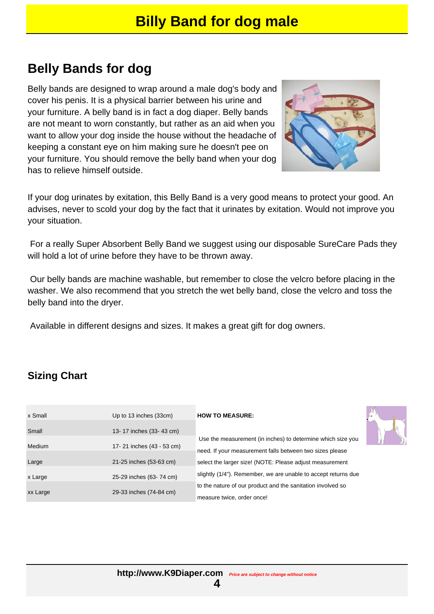### **Belly Bands for dog**

Belly bands are designed to wrap around a male dog's body and cover his penis. It is a physical barrier between his urine and your furniture. A belly band is in fact a dog diaper. Belly bands are not meant to worn constantly, but rather as an aid when you want to allow your dog inside the house without the headache of keeping a constant eye on him making sure he doesn't pee on your furniture. You should remove the belly band when your dog has to relieve himself outside.



If your dog urinates by exitation, this Belly Band is a very good means to protect your good. An advises, never to scold your dog by the fact that it urinates by exitation. Would not improve you your situation.

 For a really Super Absorbent Belly Band we suggest using our disposable SureCare Pads they will hold a lot of urine before they have to be thrown away.

 Our belly bands are machine washable, but remember to close the velcro before placing in the washer. We also recommend that you stretch the wet belly band, close the velcro and toss the belly band into the dryer.

Available in different designs and sizes. It makes a great gift for dog owners.

### **Sizing Chart**

| x Small  | Up to 13 inches (33cm)    |
|----------|---------------------------|
| Small    | 13-17 inches (33-43 cm)   |
| Medium   | 17-21 inches (43 - 53 cm) |
| Large    | 21-25 inches (53-63 cm)   |
| x Large  | 25-29 inches (63-74 cm)   |
| xx Large | 29-33 inches (74-84 cm)   |
|          |                           |

#### **HOW TO MEASURE:**



 Use the measurement (in inches) to determine which size you need. If your measurement falls between two sizes please select the larger size! (NOTE: Please adjust measurement slightly (1/4"). Remember, we are unable to accept returns due to the nature of our product and the sanitation involved so measure twice, order once!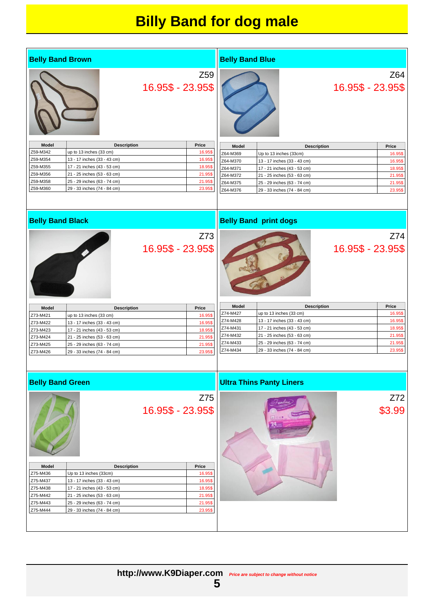### **Billy Band for dog male**

| <b>Belly Band Brown</b> |                                                            |                   |                    | <b>Belly Band Blue</b> |                                                            |                   |                    |
|-------------------------|------------------------------------------------------------|-------------------|--------------------|------------------------|------------------------------------------------------------|-------------------|--------------------|
|                         |                                                            |                   | Z <sub>59</sub>    |                        |                                                            |                   | Z64                |
|                         |                                                            |                   |                    |                        |                                                            |                   |                    |
|                         |                                                            | 16.95\$ - 23.95\$ |                    |                        |                                                            | 16.95\$ - 23.95\$ |                    |
|                         |                                                            |                   |                    |                        |                                                            |                   |                    |
|                         |                                                            |                   |                    |                        |                                                            |                   |                    |
|                         |                                                            |                   |                    |                        |                                                            |                   |                    |
|                         |                                                            |                   |                    |                        |                                                            |                   |                    |
|                         |                                                            |                   |                    |                        |                                                            |                   |                    |
|                         |                                                            |                   |                    |                        |                                                            |                   |                    |
|                         |                                                            |                   |                    |                        |                                                            |                   |                    |
| Model                   | <b>Description</b>                                         |                   | Price              | Model                  | <b>Description</b>                                         |                   | Price              |
| Z59-M342<br>Z59-M354    | up to 13 inches (33 cm)<br>13 - 17 inches (33 - 43 cm)     |                   | 16.95\$<br>16.95\$ | Z64-M369               | Up to 13 inches (33cm)                                     |                   | 16.95\$            |
| Z59-M355                | 17 - 21 inches (43 - 53 cm)                                |                   | 18.95\$            | Z64-M370               | 13 - 17 inches (33 - 43 cm)                                |                   | 16.95\$            |
| Z59-M356                | 21 - 25 inches (53 - 63 cm)                                |                   | 21.95\$            | Z64-M371               | 17 - 21 inches (43 - 53 cm)                                |                   | 18.95\$            |
| Z59-M358                | 25 - 29 inches (63 - 74 cm)                                |                   | 21.95\$            | Z64-M372<br>Z64-M375   | 21 - 25 inches (53 - 63 cm)                                |                   | 21.95\$            |
| Z59-M360                | 29 - 33 inches (74 - 84 cm)                                |                   | 23.95\$            | Z64-M376               | 25 - 29 inches (63 - 74 cm)<br>29 - 33 inches (74 - 84 cm) |                   | 21.95\$<br>23.95\$ |
|                         |                                                            |                   |                    |                        |                                                            |                   |                    |
|                         |                                                            |                   |                    |                        |                                                            |                   |                    |
|                         |                                                            |                   |                    |                        |                                                            |                   |                    |
| <b>Belly Band Black</b> |                                                            |                   |                    |                        | <b>Belly Band print dogs</b>                               |                   |                    |
|                         |                                                            |                   | Z73                |                        |                                                            |                   | Z74                |
|                         |                                                            |                   |                    |                        |                                                            |                   |                    |
|                         |                                                            | 16.95\$ - 23.95\$ |                    |                        |                                                            | 16.95\$ - 23.95\$ |                    |
|                         |                                                            |                   |                    |                        |                                                            |                   |                    |
|                         |                                                            |                   |                    |                        |                                                            |                   |                    |
|                         |                                                            |                   |                    |                        |                                                            |                   |                    |
|                         |                                                            |                   |                    |                        |                                                            |                   |                    |
|                         |                                                            |                   |                    |                        |                                                            |                   |                    |
|                         |                                                            |                   |                    |                        |                                                            |                   |                    |
|                         |                                                            |                   |                    |                        |                                                            |                   |                    |
| Model                   | <b>Description</b>                                         |                   | Price              | Model                  | <b>Description</b>                                         |                   | Price              |
| Z73-M421                | up to 13 inches (33 cm)                                    |                   | 16.95\$            | Z74-M427<br>Z74-M428   | up to 13 inches (33 cm)                                    |                   | 16.95\$            |
| Z73-M422                | 13 - 17 inches (33 - 43 cm)                                |                   | 16.95\$            | Z74-M431               | 13 - 17 inches (33 - 43 cm)<br>17 - 21 inches (43 - 53 cm) |                   | 16.95\$<br>18.95\$ |
| Z73-M423                | 17 - 21 inches (43 - 53 cm)                                |                   | 18.95\$            | Z74-M432               | 21 - 25 inches (53 - 63 cm)                                |                   | 21.95\$            |
| Z73-M424                | 21 - 25 inches (53 - 63 cm)                                |                   | 21.95\$            | Z74-M433               | 25 - 29 inches (63 - 74 cm)                                |                   | 21.95\$            |
| Z73-M425<br>Z73-M426    | 25 - 29 inches (63 - 74 cm)                                |                   | 21.95\$            | Z74-M434               | 29 - 33 inches (74 - 84 cm)                                |                   | 23.95\$            |
|                         | 29 - 33 inches (74 - 84 cm)                                |                   | 23.95\$            |                        |                                                            |                   |                    |
|                         |                                                            |                   |                    |                        |                                                            |                   |                    |
|                         |                                                            |                   |                    |                        |                                                            |                   |                    |
|                         |                                                            |                   |                    |                        |                                                            |                   |                    |
| <b>Belly Band Green</b> |                                                            |                   |                    |                        | <b>Ultra Thins Panty Liners</b>                            |                   |                    |
|                         |                                                            |                   |                    |                        |                                                            |                   |                    |
|                         |                                                            |                   | Z75                |                        |                                                            |                   | Z72                |
|                         |                                                            | 16.95\$ - 23.95\$ |                    |                        |                                                            |                   | \$3.99             |
|                         |                                                            |                   |                    |                        |                                                            |                   |                    |
|                         |                                                            |                   |                    |                        |                                                            |                   |                    |
|                         |                                                            |                   |                    |                        |                                                            |                   |                    |
|                         |                                                            |                   |                    |                        |                                                            |                   |                    |
|                         |                                                            |                   |                    |                        |                                                            |                   |                    |
|                         |                                                            |                   |                    |                        |                                                            |                   |                    |
|                         |                                                            |                   |                    |                        |                                                            |                   |                    |
| <b>Model</b>            | <b>Description</b>                                         |                   | Price              |                        |                                                            |                   |                    |
| Z75-M436                | Up to 13 inches (33cm)                                     |                   | 16.95\$            |                        |                                                            |                   |                    |
| Z75-M437                | 13 - 17 inches (33 - 43 cm)                                |                   | 16.95\$            |                        |                                                            |                   |                    |
| Z75-M438                | 17 - 21 inches (43 - 53 cm)                                |                   | 18.95\$            |                        |                                                            |                   |                    |
| Z75-M442<br>Z75-M443    | 21 - 25 inches (53 - 63 cm)<br>25 - 29 inches (63 - 74 cm) |                   | 21.95\$<br>21.95\$ |                        |                                                            |                   |                    |
| Z75-M444                | 29 - 33 inches (74 - 84 cm)                                |                   | 23.95\$            |                        |                                                            |                   |                    |
|                         |                                                            |                   |                    |                        |                                                            |                   |                    |
|                         |                                                            |                   |                    |                        |                                                            |                   |                    |
|                         |                                                            |                   |                    |                        |                                                            |                   |                    |
|                         |                                                            |                   |                    |                        |                                                            |                   |                    |

**5**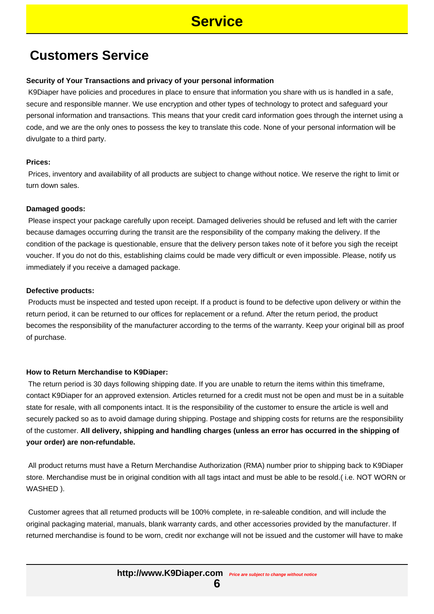### **Service**

### **Customers Service**

#### **Security of Your Transactions and privacy of your personal information**

 K9Diaper have policies and procedures in place to ensure that information you share with us is handled in a safe, secure and responsible manner. We use encryption and other types of technology to protect and safeguard your personal information and transactions. This means that your credit card information goes through the internet using a code, and we are the only ones to possess the key to translate this code. None of your personal information will be divulgate to a third party.

#### **Prices:**

 Prices, inventory and availability of all products are subject to change without notice. We reserve the right to limit or turn down sales.

#### **Damaged goods:**

 Please inspect your package carefully upon receipt. Damaged deliveries should be refused and left with the carrier because damages occurring during the transit are the responsibility of the company making the delivery. If the condition of the package is questionable, ensure that the delivery person takes note of it before you sigh the receipt voucher. If you do not do this, establishing claims could be made very difficult or even impossible. Please, notify us immediately if you receive a damaged package.

#### **Defective products:**

 Products must be inspected and tested upon receipt. If a product is found to be defective upon delivery or within the return period, it can be returned to our offices for replacement or a refund. After the return period, the product becomes the responsibility of the manufacturer according to the terms of the warranty. Keep your original bill as proof of purchase.

#### **How to Return Merchandise to K9Diaper:**

 The return period is 30 days following shipping date. If you are unable to return the items within this timeframe, contact K9Diaper for an approved extension. Articles returned for a credit must not be open and must be in a suitable state for resale, with all components intact. It is the responsibility of the customer to ensure the article is well and securely packed so as to avoid damage during shipping. Postage and shipping costs for returns are the responsibility of the customer. **All delivery, shipping and handling charges (unless an error has occurred in the shipping of your order) are non-refundable.**

 All product returns must have a Return Merchandise Authorization (RMA) number prior to shipping back to K9Diaper store. Merchandise must be in original condition with all tags intact and must be able to be resold.( i.e. NOT WORN or WASHED ).

 Customer agrees that all returned products will be 100% complete, in re-saleable condition, and will include the original packaging material, manuals, blank warranty cards, and other accessories provided by the manufacturer. If returned merchandise is found to be worn, credit nor exchange will not be issued and the customer will have to make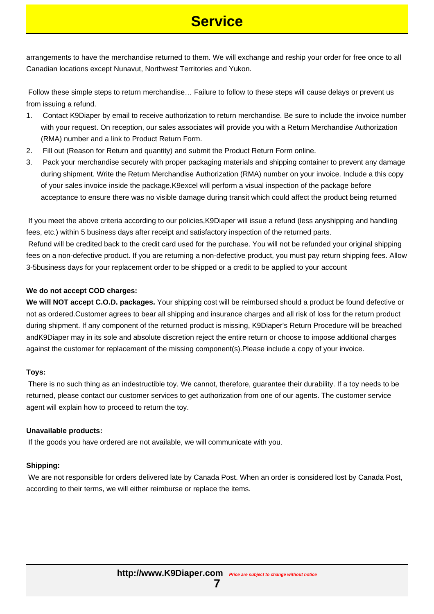### **Service**

arrangements to have the merchandise returned to them. We will exchange and reship your order for free once to all Canadian locations except Nunavut, Northwest Territories and Yukon.

 Follow these simple steps to return merchandise… Failure to follow to these steps will cause delays or prevent us from issuing a refund.

- 1. Contact K9Diaper by email to receive authorization to return merchandise. Be sure to include the invoice number with your request. On reception, our sales associates will provide you with a Return Merchandise Authorization (RMA) number and a link to Product Return Form.
- 2. Fill out (Reason for Return and quantity) and submit the Product Return Form online.
- 3. Pack your merchandise securely with proper packaging materials and shipping container to prevent any damage during shipment. Write the Return Merchandise Authorization (RMA) number on your invoice. Include a this copy of your sales invoice inside the package.K9excel will perform a visual inspection of the package before acceptance to ensure there was no visible damage during transit which could affect the product being returned

 If you meet the above criteria according to our policies,K9Diaper will issue a refund (less anyshipping and handling fees, etc.) within 5 business days after receipt and satisfactory inspection of the returned parts.

 Refund will be credited back to the credit card used for the purchase. You will not be refunded your original shipping fees on a non-defective product. If you are returning a non-defective product, you must pay return shipping fees. Allow 3-5business days for your replacement order to be shipped or a credit to be applied to your account

### **We do not accept COD charges:**

**We will NOT accept C.O.D. packages.** Your shipping cost will be reimbursed should a product be found defective or not as ordered.Customer agrees to bear all shipping and insurance charges and all risk of loss for the return product during shipment. If any component of the returned product is missing, K9Diaper's Return Procedure will be breached andK9Diaper may in its sole and absolute discretion reject the entire return or choose to impose additional charges against the customer for replacement of the missing component(s).Please include a copy of your invoice.

#### **Toys:**

 There is no such thing as an indestructible toy. We cannot, therefore, guarantee their durability. If a toy needs to be returned, please contact our customer services to get authorization from one of our agents. The customer service agent will explain how to proceed to return the toy.

#### **Unavailable products:**

If the goods you have ordered are not available, we will communicate with you.

### **Shipping:**

 We are not responsible for orders delivered late by Canada Post. When an order is considered lost by Canada Post, according to their terms, we will either reimburse or replace the items.